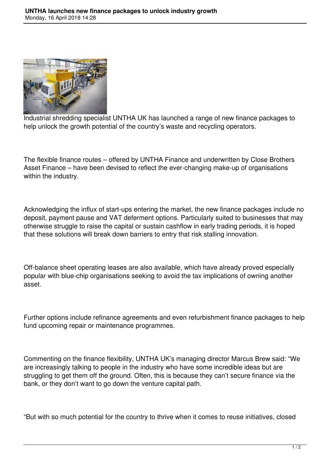

Industrial shredding specialist UNTHA UK has launched a range of new finance packages to help unlock the growth potential of the country's waste and recycling operators.

The flexible finance routes – offered by UNTHA Finance and underwritten by Close Brothers Asset Finance – have been devised to reflect the ever-changing make-up of organisations within the industry.

Acknowledging the influx of start-ups entering the market, the new finance packages include no deposit, payment pause and VAT deferment options. Particularly suited to businesses that may otherwise struggle to raise the capital or sustain cashflow in early trading periods, it is hoped that these solutions will break down barriers to entry that risk stalling innovation.

Off-balance sheet operating leases are also available, which have already proved especially popular with blue-chip organisations seeking to avoid the tax implications of owning another asset.

Further options include refinance agreements and even refurbishment finance packages to help fund upcoming repair or maintenance programmes.

Commenting on the finance flexibility, UNTHA UK's managing director Marcus Brew said: "We are increasingly talking to people in the industry who have some incredible ideas but are struggling to get them off the ground. Often, this is because they can't secure finance via the bank, or they don't want to go down the venture capital path.

"But with so much potential for the country to thrive when it comes to reuse initiatives, closed